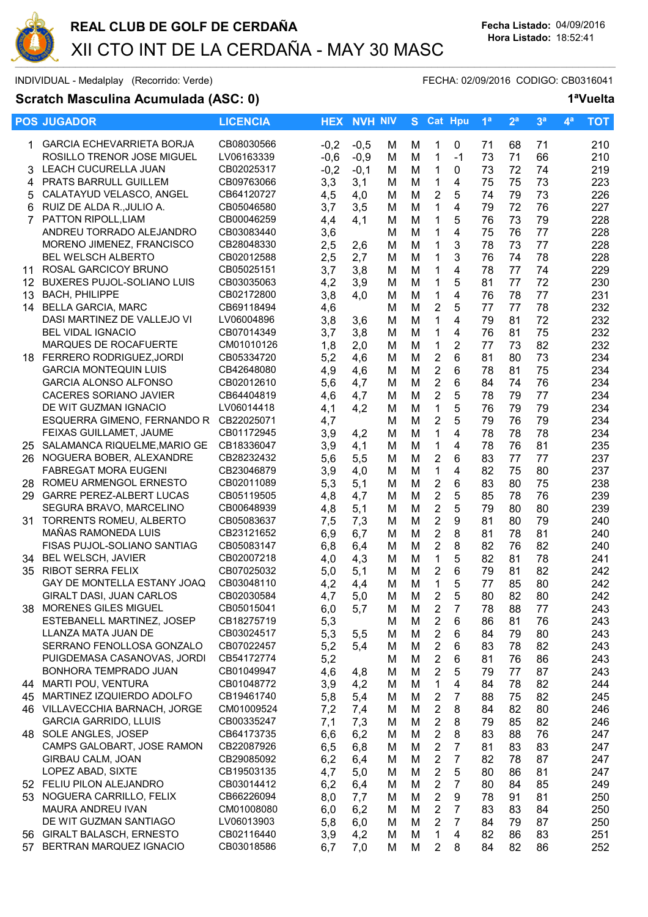

INDIVIDUAL - Medalplay (Recorrido: Verde) et al. (2/09/2016 CODIGO: CB0316041

# **Scratch Masculina Acumulada (ASC: 0) 1ªVuelta**

|                   | <b>POS JUGADOR</b>                                    | <b>LICENCIA</b>          |            | <b>HEX NVH NIV</b> |        |        | S Cat Hpu                      |                | 1 <sup>a</sup> | 2 <sup>a</sup> | 3 <sup>a</sup> | 4 <sup>a</sup> | <b>TOT</b> |
|-------------------|-------------------------------------------------------|--------------------------|------------|--------------------|--------|--------|--------------------------------|----------------|----------------|----------------|----------------|----------------|------------|
|                   | <b>GARCIA ECHEVARRIETA BORJA</b>                      | CB08030566               | $-0,2$     | $-0,5$             | м      | м      | 1                              | 0              | 71             | 68             | 71             |                | 210        |
|                   | ROSILLO TRENOR JOSE MIGUEL                            | LV06163339               | $-0,6$     | $-0,9$             | M      | M      | $\mathbf{1}$                   | $-1$           | 73             | 71             | 66             |                | 210        |
| 3.                | LEACH CUCURELLA JUAN                                  | CB02025317               | $-0,2$     | $-0,1$             | M      | M      | $\mathbf{1}$                   | 0              | 73             | 72             | 74             |                | 219        |
| 4                 | PRATS BARRULL GUILLEM                                 | CB09763066               | 3,3        | 3,1                | м      | M      | 1                              | 4              | 75             | 75             | 73             |                | 223        |
| 5                 | CALATAYUD VELASCO, ANGEL                              | CB64120727               | 4,5        | 4,0                | М      | M      | $\overline{2}$                 | 5              | 74             | 79             | 73             |                | 226        |
| 6                 | RUIZ DE ALDA R., JULIO A.                             | CB05046580               | 3,7        | 3,5                | M      | M      | 1                              | 4              | 79             | 72             | 76             |                | 227        |
| $\overline{7}$    | PATTON RIPOLL, LIAM                                   | CB00046259               | 4,4        | 4,1                | M      | M      | 1                              | 5              | 76             | 73             | 79             |                | 228        |
|                   | ANDREU TORRADO ALEJANDRO                              | CB03083440               | 3,6        |                    | M      | M      | 1                              | 4              | 75             | 76             | 77             |                | 228        |
|                   | MORENO JIMENEZ, FRANCISCO                             | CB28048330               | 2,5        | 2,6                | M      | M      | 1                              | 3              | 78             | 73             | 77             |                | 228        |
|                   | <b>BEL WELSCH ALBERTO</b>                             | CB02012588               | 2,5        | 2,7                | M      | M      | 1                              | 3              | 76             | 74             | 78             |                | 228        |
| 11                | ROSAL GARCICOY BRUNO                                  | CB05025151               | 3,7        | 3,8                | M      | M      | 1                              | 4              | 78             | 77             | 74             |                | 229        |
| $12 \overline{ }$ | <b>BUXERES PUJOL-SOLIANO LUIS</b>                     | CB03035063               | 4,2        | 3,9                | M      | M      | 1                              | 5              | 81             | 77             | 72             |                | 230        |
| 13                | <b>BACH, PHILIPPE</b>                                 | CB02172800               | 3,8        | 4,0                | M      | M      | 1                              | 4              | 76             | 78             | 77             |                | 231        |
|                   | 14 BELLA GARCIA, MARC                                 | CB69118494               | 4,6        |                    | M      | M      | $\overline{2}$                 | 5              | 77             | 77             | 78             |                | 232        |
|                   | DASI MARTINEZ DE VALLEJO VI                           | LV06004896               | 3,8        | 3,6                | M      | M      | $\mathbf{1}$                   | 4              | 79             | 81             | 72             |                | 232        |
|                   | <b>BEL VIDAL IGNACIO</b>                              | CB07014349               | 3,7        | 3,8                | M      | M      | $\mathbf 1$                    | 4              | 76             | 81             | 75             |                | 232        |
|                   | MARQUES DE ROCAFUERTE                                 | CM01010126               | 1,8        | 2,0                | M      | M      | $\mathbf{1}$                   | $\overline{2}$ | 77             | 73             | 82             |                | 232        |
|                   | 18 FERRERO RODRIGUEZ, JORDI                           | CB05334720               | 5,2        | 4,6                | M      | M      | $\overline{2}$                 | 6              | 81             | 80             | 73             |                | 234        |
|                   | <b>GARCIA MONTEQUIN LUIS</b>                          | CB42648080               | 4,9        | 4,6                | м      | M      | $\overline{2}$                 | 6              | 78             | 81             | 75             |                | 234        |
|                   | <b>GARCIA ALONSO ALFONSO</b>                          | CB02012610               | 5,6        | 4,7                | м      | M      | $\overline{2}$                 | 6              | 84             | 74             | 76             |                | 234        |
|                   | <b>CACERES SORIANO JAVIER</b>                         | CB64404819               | 4,6        | 4,7                | м      | M      | $\overline{2}$                 | 5              | 78             | 79             | 77             |                | 234        |
|                   | DE WIT GUZMAN IGNACIO                                 | LV06014418               | 4,1        | 4,2                | м      | M      | $\mathbf{1}$                   | 5              | 76             | 79             | 79             |                | 234        |
|                   | ESQUERRA GIMENO, FERNANDO R CB22025071                |                          | 4,7        |                    | м      | M      | $\overline{2}$                 | 5              | 79             | 76             | 79             |                | 234        |
|                   | FEIXAS GUILLAMET, JAUME                               | CB01172945               | 3,9        | 4,2                | M      | M      | $\mathbf{1}$                   | 4              | 78             | 78             | 78             |                | 234        |
|                   | 25 SALAMANCA RIQUELME, MARIO GE                       | CB18336047               | 3,9        | 4,1                | M      | M      | $\mathbf{1}$                   | 4              | 78             | 76             | 81             |                | 235        |
|                   | 26 NOGUERA BOBER, ALEXANDRE                           | CB28232432               | 5,6        | 5,5                | M      | M      | $\overline{2}$                 | 6              | 83             | 77             | 77             |                | 237        |
|                   | <b>FABREGAT MORA EUGENI</b>                           | CB23046879               | 3,9        | 4,0                | M      | M      | $\mathbf{1}$                   | 4              | 82             | 75             | 80             |                | 237        |
|                   | 28 ROMEU ARMENGOL ERNESTO                             | CB02011089               | 5,3        | 5,1                | м      | M      | $\mathbf 2$                    | 6              | 83             | 80             | 75             |                | 238        |
|                   | 29 GARRE PEREZ-ALBERT LUCAS                           | CB05119505               | 4,8        | 4,7                | м      | M      | $\overline{2}$                 | 5              | 85             | 78             | 76             |                | 239        |
|                   | SEGURA BRAVO, MARCELINO                               | CB00648939               | 4,8        | 5,1                | M      | M      | $\overline{2}$                 | 5              | 79             | 80             | 80             |                | 239        |
| 31.               | TORRENTS ROMEU, ALBERTO                               | CB05083637               | 7,5        | 7,3                | M      | M      | $\overline{2}$                 | 9              | 81             | 80             | 79             |                | 240        |
|                   | MAÑAS RAMONEDA LUIS                                   | CB23121652               | 6,9        | 6,7                | M      | M      | $\overline{2}$                 | 8              | 81             | 78             | 81             |                | 240        |
|                   | FISAS PUJOL-SOLIANO SANTIAG                           | CB05083147               | 6,8        | 6,4                | м      | M      | $\overline{2}$                 | 8              | 82             | 76             | 82             |                | 240        |
| 34                | <b>BEL WELSCH, JAVIER</b><br><b>RIBOT SERRA FELIX</b> | CB02007218               | 4,0        | 4,3                | M      | M      | 1                              | 5              | 82             | 81             | 78             |                | 241        |
| 35                | GAY DE MONTELLA ESTANY JOAQ                           | CB07025032<br>CB03048110 | 5,0        | 5,1                | M      | M      | $\overline{2}$<br>$\mathbf{1}$ | 6<br>5         | 79<br>77       | 81<br>85       | 82<br>80       |                | 242<br>242 |
|                   | <b>GIRALT DASI, JUAN CARLOS</b>                       | CB02030584               | 4,2<br>4.7 | 4,4<br>5,0         | M<br>M | M<br>M | $\overline{2}$                 | 5              | 80             | 82             | 80             |                | 242        |
|                   | 38 MORENES GILES MIGUEL                               | CB05015041               |            |                    |        |        | $\overline{2}$                 |                |                |                | 77             |                |            |
|                   | ESTEBANELL MARTINEZ, JOSEP                            | CB18275719               | 6,0<br>5,3 | 5,7                | M<br>M | M<br>M | $\overline{2}$                 | 7<br>6         | 78<br>86       | 88<br>81       | 76             |                | 243<br>243 |
|                   | LLANZA MATA JUAN DE                                   | CB03024517               | 5,3        | 5,5                | M      | M      | $\boldsymbol{2}$               | 6              | 84             | 79             | 80             |                | 243        |
|                   | SERRANO FENOLLOSA GONZALO                             | CB07022457               | 5,2        | 5,4                | M      | M      | $\mathbf{2}$                   | 6              | 83             | 78             | 82             |                | 243        |
|                   | PUIGDEMASA CASANOVAS, JORDI                           | CB54172774               | 5,2        |                    | M      | M      | $\boldsymbol{2}$               | 6              | 81             | 76             | 86             |                | 243        |
|                   | BONHORA TEMPRADO JUAN                                 | CB01049947               | 4,6        | 4,8                | M      | M      | $\mathbf{2}$                   | 5              | 79             | 77             | 87             |                | 243        |
|                   | 44 MARTI POU, VENTURA                                 | CB01048772               | 3,9        | 4,2                | M      | M      | 1                              | 4              | 84             | 78             | 82             |                | 244        |
|                   | 45 MARTINEZ IZQUIERDO ADOLFO                          | CB19461740               | 5,8        | 5,4                | м      | M      | $\overline{2}$                 | 7              | 88             | 75             | 82             |                | 245        |
|                   | 46 VILLAVECCHIA BARNACH, JORGE                        | CM01009524               | 7,2        | 7,4                | м      | M      | $\overline{2}$                 | 8              | 84             | 82             | 80             |                | 246        |
|                   | <b>GARCIA GARRIDO, LLUIS</b>                          | CB00335247               | 7,1        | 7,3                | M      | M      | 2                              | 8              | 79             | 85             | 82             |                | 246        |
|                   | 48 SOLE ANGLES, JOSEP                                 | CB64173735               | 6,6        | 6,2                | м      | M      | $\overline{2}$                 | 8              | 83             | 88             | 76             |                | 247        |
|                   | CAMPS GALOBART, JOSE RAMON                            | CB22087926               | 6,5        | 6,8                | м      | M      | 2                              | 7              | 81             | 83             | 83             |                | 247        |
|                   | GIRBAU CALM, JOAN                                     | CB29085092               | 6,2        | 6,4                | M      | M      | $\boldsymbol{2}$               | 7              | 82             | 78             | 87             |                | 247        |
|                   | LOPEZ ABAD, SIXTE                                     | CB19503135               | 4,7        | 5,0                | м      | M      | $\boldsymbol{2}$               | 5              | 80             | 86             | 81             |                | 247        |
|                   | 52 FELIU PILON ALEJANDRO                              | CB03014412               | 6,2        | 6,4                | м      | M      | $\mathbf{2}$                   | 7              | 80             | 84             | 85             |                | 249        |
|                   | 53 NOGUERA CARRILLO, FELIX                            | CB66226094               | 8,0        | 7,7                | M      | M      | $\mathbf{2}$                   | 9              | 78             | 91             | 81             |                | 250        |
|                   | MAURA ANDREU IVAN                                     | CM01008080               | 6,0        | 6,2                | M      | M      | $\mathbf{2}$                   | 7              | 83             | 83             | 84             |                | 250        |
|                   | DE WIT GUZMAN SANTIAGO                                | LV06013903               | 5,8        | 6,0                | м      | M      | $\overline{2}$                 | $\overline{7}$ | 84             | 79             | 87             |                | 250        |
|                   | 56 GIRALT BALASCH, ERNESTO                            | CB02116440               | 3,9        | 4,2                | M      | M      | 1                              | 4              | 82             | 86             | 83             |                | 251        |
|                   | 57 BERTRAN MARQUEZ IGNACIO                            | CB03018586               | 6,7        | 7,0                | M      | M      | $\overline{2}$                 | 8              | 84             | 82             | 86             |                | 252        |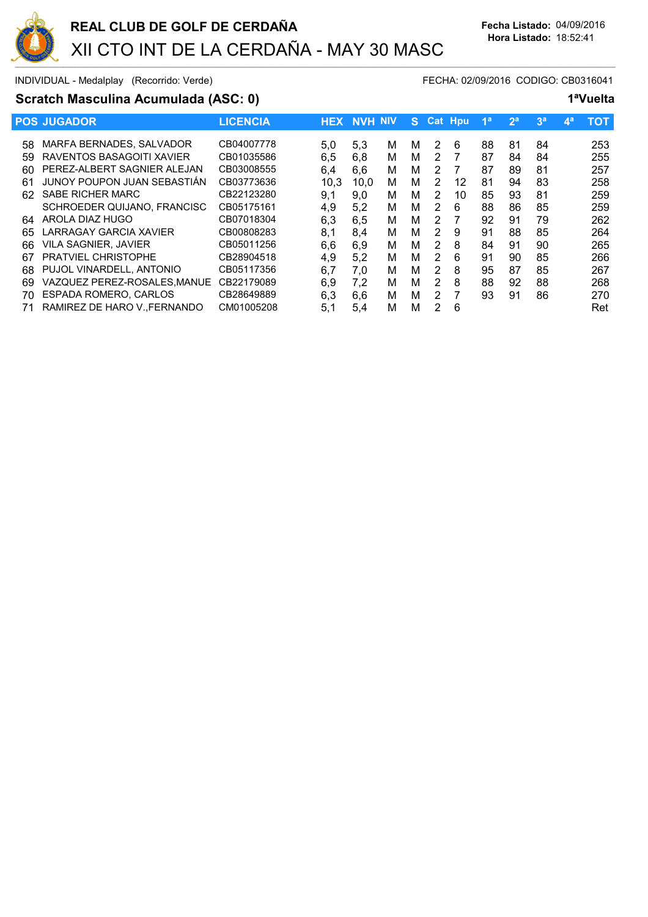

INDIVIDUAL - Medalplay (Recorrido: Verde) et al. (2/09/2016 CODIGO: CB0316041

# **Scratch Masculina Acumulada (ASC: 0) 1ªVuelta**

|     | <b>POS JUGADOR</b>          | <b>LICENCIA</b> | <b>HEX</b> | <b>NVH NIV</b> |   | S. |                | <b>Cat Hou</b> | 1 <sup>a</sup> | 2 <sup>a</sup> | 3 <sup>a</sup> | 49 | <b>TOT</b> |
|-----|-----------------------------|-----------------|------------|----------------|---|----|----------------|----------------|----------------|----------------|----------------|----|------------|
| 58  | MARFA BERNADES, SALVADOR    | CB04007778      | 5,0        | 5,3            | м | м  | 2              | 6              | 88             | 81             | 84             |    | 253        |
| 59  | RAVENTOS BASAGOITI XAVIER   | CB01035586      | 6,5        | 6,8            | м | м  | 2              |                | 87             | 84             | 84             |    | 255        |
| 60  | PEREZ-ALBERT SAGNIER ALEJAN | CB03008555      | 6.4        | 6,6            | м | м  | 2              |                | 87             | 89             | 81             |    | 257        |
| 61  | JUNOY POUPON JUAN SEBASTIÁN | CB03773636      | 10,3       | 10.0           | м | м  | 2              | 12             | 81             | 94             | 83             |    | 258        |
| 62. | <b>SABE RICHER MARC</b>     | CB22123280      | 9,1        | 9.0            | м | м  | 2              | 10             | 85             | 93             | 81             |    | 259        |
|     | SCHROEDER QUIJANO, FRANCISC | CB05175161      | 4.9        | 5.2            | м | м  | 2              | 6              | 88             | 86             | 85             |    | 259        |
| 64  | AROLA DIAZ HUGO             | CB07018304      | 6.3        | 6.5            | м | м  | 2              |                | 92             | 91             | 79             |    | 262        |
| 65  | LARRAGAY GARCIA XAVIER      | CB00808283      | 8,1        | 8.4            | м | м  | 2              | 9              | 91             | 88             | 85             |    | 264        |
| 66  | <b>VILA SAGNIER, JAVIER</b> | CB05011256      | 6,6        | 6.9            | м | м  | 2              | 8              | 84             | 91             | 90             |    | 265        |
| 67  | <b>PRATVIEL CHRISTOPHE</b>  | CB28904518      | 4.9        | 5.2            | м | м  | $\mathcal{P}$  | 6              | 91             | 90             | 85             |    | 266        |
| 68  | PUJOL VINARDELL, ANTONIO    | CB05117356      | 6,7        | 7.0            | м | м  | $\overline{2}$ | 8              | 95             | 87             | 85             |    | 267        |
| 69  | VAZQUEZ PEREZ-ROSALES.MANUE | CB22179089      | 6.9        | 7.2            | м | м  | 2              | 8              | 88             | 92             | 88             |    | 268        |
| 70  | ESPADA ROMERO, CARLOS       | CB28649889      | 6.3        | 6.6            | м | м  | 2              |                | 93             | 91             | 86             |    | 270        |
| 71  | RAMIREZ DE HARO V. FERNANDO | CM01005208      | 5.1        | 5.4            | м | M  | 2              | 6              |                |                |                |    | Ret        |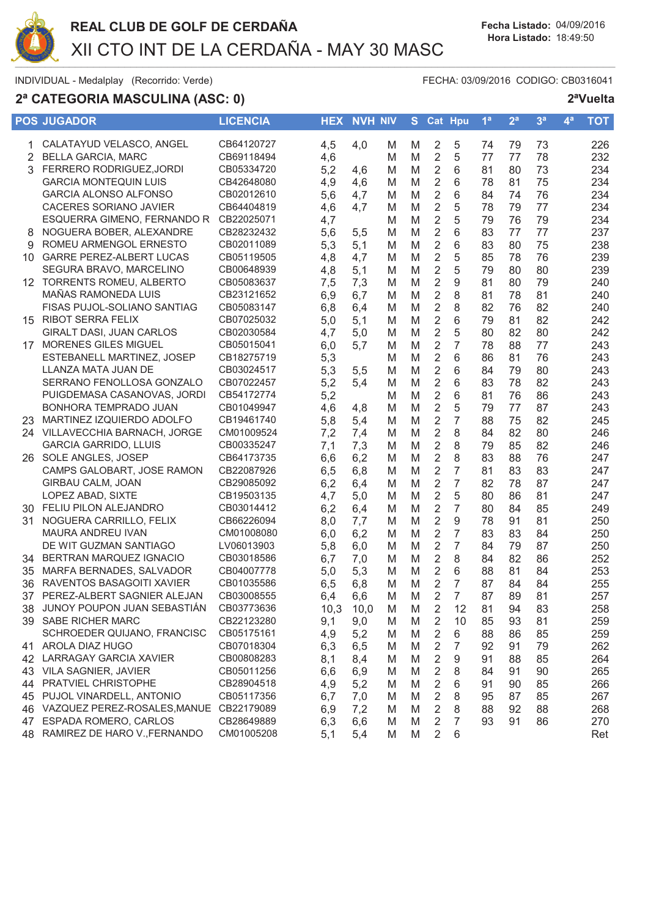

# 2ª CATEGORIA MASCULINA (ASC: 0)

FECHA: 03/09/2016 CODIGO: CB0316041

|    | <b>POS JUGADOR</b>                         | <b>LICENCIA</b> |      | <b>HEX NVH NIV</b> |   | S. |                         | Cat Hpu        | 1 <sup>a</sup> | 2 <sup>a</sup> | 3 <sup>a</sup> | 4 <sup>a</sup> | <b>TOT</b> |
|----|--------------------------------------------|-----------------|------|--------------------|---|----|-------------------------|----------------|----------------|----------------|----------------|----------------|------------|
|    | 1 CALATAYUD VELASCO, ANGEL                 | CB64120727      | 4,5  | 4,0                | M | M  | $\overline{2}$          | 5              | 74             | 79             | 73             |                | 226        |
| 2  | <b>BELLA GARCIA, MARC</b>                  | CB69118494      | 4,6  |                    | M | M  | $\overline{2}$          | 5              | 77             | 77             | 78             |                | 232        |
| 3  | FERRERO RODRIGUEZ, JORDI                   | CB05334720      | 5,2  | 4,6                | M | M  | 2                       | 6              | 81             | 80             | 73             |                | 234        |
|    | <b>GARCIA MONTEQUIN LUIS</b>               | CB42648080      | 4,9  | 4,6                | M | M  | $\overline{2}$          | 6              | 78             | 81             | 75             |                | 234        |
|    | <b>GARCIA ALONSO ALFONSO</b>               | CB02012610      | 5,6  | 4,7                | M | M  | $\mathbf 2$             | 6              | 84             | 74             | 76             |                | 234        |
|    | <b>CACERES SORIANO JAVIER</b>              | CB64404819      | 4,6  | 4,7                | M | M  | $\mathbf 2$             | 5              | 78             | 79             | 77             |                | 234        |
|    | ESQUERRA GIMENO, FERNANDO R                | CB22025071      | 4,7  |                    | M | M  | $\overline{2}$          | 5              | 79             | 76             | 79             |                | 234        |
| 8  | NOGUERA BOBER, ALEXANDRE                   | CB28232432      | 5,6  | 5,5                | M | M  | $\overline{2}$          | 6              | 83             | 77             | 77             |                | 237        |
| 9  | ROMEU ARMENGOL ERNESTO                     | CB02011089      | 5,3  | 5,1                | M | M  | $\overline{2}$          | 6              | 83             | 80             | 75             |                | 238        |
| 10 | <b>GARRE PEREZ-ALBERT LUCAS</b>            | CB05119505      | 4,8  | 4,7                | M | M  | $\overline{2}$          | 5              | 85             | 78             | 76             |                | 239        |
|    | SEGURA BRAVO, MARCELINO                    | CB00648939      | 4,8  | 5,1                | M | M  | $\overline{2}$          | 5              | 79             | 80             | 80             |                | 239        |
|    | 12 TORRENTS ROMEU, ALBERTO                 | CB05083637      | 7,5  | 7,3                | M | M  | $\overline{2}$          | 9              | 81             | 80             | 79             |                | 240        |
|    | MAÑAS RAMONEDA LUIS                        | CB23121652      | 6,9  | 6,7                | M | M  | $\overline{2}$          | 8              | 81             | 78             | 81             |                | 240        |
|    | FISAS PUJOL-SOLIANO SANTIAG                | CB05083147      | 6,8  | 6,4                | M | M  | $\overline{2}$          | 8              | 82             | 76             | 82             |                | 240        |
|    | 15 RIBOT SERRA FELIX                       | CB07025032      | 5,0  | 5,1                | M | M  | 2                       | 6              | 79             | 81             | 82             |                | 242        |
|    | GIRALT DASI, JUAN CARLOS                   | CB02030584      | 4,7  | 5,0                | M | M  | $\overline{2}$          | 5              | 80             | 82             | 80             |                | 242        |
|    | 17 MORENES GILES MIGUEL                    | CB05015041      | 6,0  | 5,7                | M | M  | 2                       | 7              | 78             | 88             | 77             |                | 243        |
|    | ESTEBANELL MARTINEZ, JOSEP                 | CB18275719      | 5,3  |                    | M | M  | $\overline{2}$          | 6              | 86             | 81             | 76             |                | 243        |
|    | LLANZA MATA JUAN DE                        | CB03024517      | 5,3  | 5,5                | M | M  | $\mathbf 2$             | 6              | 84             | 79             | 80             |                | 243        |
|    | SERRANO FENOLLOSA GONZALO                  | CB07022457      | 5,2  | 5,4                | M | M  | $\overline{2}$          | 6              | 83             | 78             | 82             |                | 243        |
|    | PUIGDEMASA CASANOVAS, JORDI                | CB54172774      | 5,2  |                    | M | M  | $\overline{2}$          | 6              | 81             | 76             | 86             |                | 243        |
|    | BONHORA TEMPRADO JUAN                      | CB01049947      | 4,6  | 4,8                | M | M  | $\overline{2}$          | 5              | 79             | 77             | 87             |                | 243        |
| 23 | MARTINEZ IZQUIERDO ADOLFO                  | CB19461740      | 5,8  | 5,4                | M | M  | $\overline{2}$          | $\overline{7}$ | 88             | 75             | 82             |                | 245        |
|    | 24 VILLAVECCHIA BARNACH, JORGE             | CM01009524      | 7,2  | 7,4                | M | M  | $\overline{2}$          | 8              | 84             | 82             | 80             |                | 246        |
|    | <b>GARCIA GARRIDO, LLUIS</b>               | CB00335247      | 7,1  | 7,3                | M | M  | $\overline{2}$          | 8              | 79             | 85             | 82             |                | 246        |
|    | 26 SOLE ANGLES, JOSEP                      | CB64173735      | 6,6  | 6,2                | M | M  | $\overline{2}$          | 8              | 83             | 88             | 76             |                | 247        |
|    | CAMPS GALOBART, JOSE RAMON                 | CB22087926      | 6,5  | 6,8                | M | M  | $\overline{2}$          | 7              | 81             | 83             | 83             |                | 247        |
|    | GIRBAU CALM, JOAN                          | CB29085092      | 6,2  | 6,4                | M | M  | 2                       | 7              | 82             | 78             | 87             |                | 247        |
|    | LOPEZ ABAD, SIXTE                          | CB19503135      | 4,7  | 5,0                | M | M  | $\mathbf 2$             | 5              | 80             | 86             | 81             |                | 247        |
| 30 | FELIU PILON ALEJANDRO                      | CB03014412      | 6,2  | 6,4                | M | M  | $\overline{2}$          | $\overline{7}$ | 80             | 84             | 85             |                | 249        |
| 31 | NOGUERA CARRILLO, FELIX                    | CB66226094      | 8,0  | 7,7                | M | M  | $\overline{2}$          | 9              | 78             | 91             | 81             |                | 250        |
|    | MAURA ANDREU IVAN                          | CM01008080      | 6,0  | 6,2                | M | M  | $\overline{2}$          | $\overline{7}$ | 83             | 83             | 84             |                | 250        |
|    | DE WIT GUZMAN SANTIAGO                     | LV06013903      | 5,8  | 6,0                | M | M  | $\overline{2}$          | 7              | 84             | 79             | 87             |                | 250        |
| 34 | BERTRAN MARQUEZ IGNACIO                    | CB03018586      | 6,7  | 7,0                | M | M  | $\overline{2}$          | 8              | 84             | 82             | 86             |                | 252        |
| 35 | MARFA BERNADES, SALVADOR                   | CB04007778      | 5,0  | 5,3                | M | M  | $\overline{2}$          | 6              | 88             | 81             | 84             |                | 253        |
| 36 | RAVENTOS BASAGOITI XAVIER                  | CB01035586      | 6,5  | 6,8                | M | M  | $\overline{2}$          | $\overline{7}$ | 87             | 84             | 84             |                | 255        |
| 37 | PEREZ-ALBERT SAGNIER ALEJAN                | CB03008555      | 6,4  | 6,6                | M | M  | $\overline{2}$          | $\overline{7}$ | 87             | 89             | 81             |                | 257        |
|    | 38 JUNOY POUPON JUAN SEBASTIÁN             | CB03773636      | 10,3 | 10,0               | M | M  | 2                       | 12             | 81             | 94             | 83             |                | 258        |
|    | 39 SABE RICHER MARC                        | CB22123280      | 9,1  | 9,0                | M | M  | 2                       | 10             | 85             | 93             | 81             |                | 259        |
|    | SCHROEDER QUIJANO, FRANCISC                | CB05175161      | 4,9  | 5,2                | M | M  | 2                       | 6              | 88             | 86             | 85             |                | 259        |
|    | 41 AROLA DIAZ HUGO                         | CB07018304      | 6,3  | 6,5                | M | M  | 2                       | 7              | 92             | 91             | 79             |                | 262        |
| 42 | LARRAGAY GARCIA XAVIER                     | CB00808283      | 8,1  | 8,4                | M | M  | 2                       | 9              | 91             | 88             | 85             |                | 264        |
|    | 43 VILA SAGNIER, JAVIER                    | CB05011256      | 6,6  | 6,9                | M | M  | 2                       | 8              | 84             | 91             | 90             |                | 265        |
| 44 | <b>PRATVIEL CHRISTOPHE</b>                 | CB28904518      | 4,9  | 5,2                | M | M  | 2                       | 6              | 91             | 90             | 85             |                | 266        |
|    | 45 PUJOL VINARDELL, ANTONIO                | CB05117356      | 6,7  | 7,0                | M | M  | $\overline{\mathbf{c}}$ | 8              | 95             | 87             | 85             |                | 267        |
|    | 46 VAZQUEZ PEREZ-ROSALES, MANUE CB22179089 |                 | 6,9  | 7,2                | M | M  | 2                       | 8              | 88             | 92             | 88             |                | 268        |
|    | 47 ESPADA ROMERO, CARLOS                   | CB28649889      | 6,3  | 6,6                | M | M  | 2                       | 7              | 93             | 91             | 86             |                | 270        |
|    | 48 RAMIREZ DE HARO V., FERNANDO            | CM01005208      | 5,1  | 5,4                | M | M  | $\overline{2}$          | 6              |                |                |                |                | Ret        |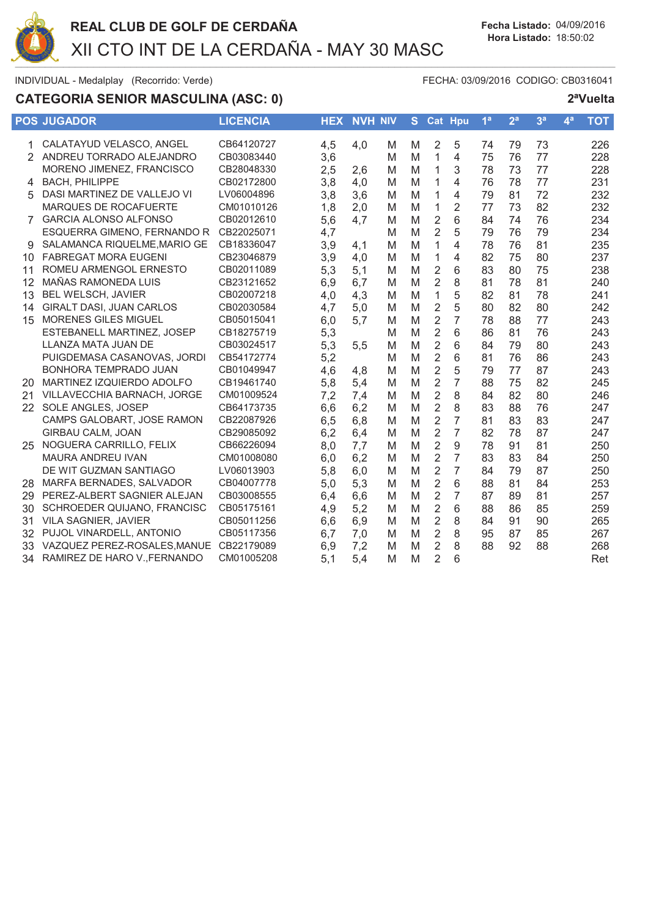

# **CATEGORIA SENIOR MASCULINA (ASC: 0)**

FECHA: 03/09/2016 CODIGO: CB0316041

|               | <b>POS JUGADOR</b>                 | <b>LICENCIA</b> |     | <b>HEX NVH NIV</b> |   | S. |                | <b>Cat Hpu</b> | 1 <sup>a</sup> | 2 <sup>a</sup> | 3 <sup>a</sup> | 4 <sup>a</sup> | <b>TOT</b> |
|---------------|------------------------------------|-----------------|-----|--------------------|---|----|----------------|----------------|----------------|----------------|----------------|----------------|------------|
| 1             | CALATAYUD VELASCO, ANGEL           | CB64120727      | 4,5 | 4,0                | M | M  | 2              | 5              | 74             | 79             | 73             |                | 226        |
| $\mathcal{P}$ | ANDREU TORRADO ALEJANDRO           | CB03083440      | 3,6 |                    | M | M  | 1              | 4              | 75             | 76             | 77             |                | 228        |
|               | MORENO JIMENEZ, FRANCISCO          | CB28048330      | 2,5 | 2,6                | M | M  | 1              | 3              | 78             | 73             | 77             |                | 228        |
| 4             | <b>BACH, PHILIPPE</b>              | CB02172800      | 3,8 | 4,0                | M | M  | 1              | 4              | 76             | 78             | 77             |                | 231        |
| 5             | DASI MARTINEZ DE VALLEJO VI        | LV06004896      | 3,8 | 3,6                | M | M  | 1              | 4              | 79             | 81             | 72             |                | 232        |
|               | MARQUES DE ROCAFUERTE              | CM01010126      | 1,8 | 2,0                | M | M  | 1              | $\overline{2}$ | 77             | 73             | 82             |                | 232        |
| 7             | <b>GARCIA ALONSO ALFONSO</b>       | CB02012610      | 5,6 | 4,7                | M | M  | 2              | 6              | 84             | 74             | 76             |                | 234        |
|               | ESQUERRA GIMENO, FERNANDO R        | CB22025071      | 4,7 |                    | M | M  | $\overline{2}$ | 5              | 79             | 76             | 79             |                | 234        |
| 9             | SALAMANCA RIQUELME, MARIO GE       | CB18336047      | 3,9 | 4,1                | M | M  | $\mathbf{1}$   | 4              | 78             | 76             | 81             |                | 235        |
| 10            | <b>FABREGAT MORA EUGENI</b>        | CB23046879      | 3,9 | 4,0                | M | M  | 1              | 4              | 82             | 75             | 80             |                | 237        |
| 11            | ROMEU ARMENGOL ERNESTO             | CB02011089      | 5,3 | 5,1                | M | M  | $\overline{2}$ | 6              | 83             | 80             | 75             |                | 238        |
| 12            | MAÑAS RAMONEDA LUIS                | CB23121652      | 6,9 | 6,7                | M | M  | $\overline{2}$ | 8              | 81             | 78             | 81             |                | 240        |
| 13            | BEL WELSCH, JAVIER                 | CB02007218      | 4,0 | 4,3                | M | M  | 1              | 5              | 82             | 81             | 78             |                | 241        |
| 14            | <b>GIRALT DASI. JUAN CARLOS</b>    | CB02030584      | 4,7 | 5,0                | М | M  | $\overline{2}$ | 5              | 80             | 82             | 80             |                | 242        |
| 15            | <b>MORENES GILES MIGUEL</b>        | CB05015041      | 6,0 | 5,7                | M | M  | $\overline{2}$ | $\overline{7}$ | 78             | 88             | 77             |                | 243        |
|               | ESTEBANELL MARTINEZ, JOSEP         | CB18275719      | 5,3 |                    | M | M  | $\overline{2}$ | 6              | 86             | 81             | 76             |                | 243        |
|               | LLANZA MATA JUAN DE                | CB03024517      | 5,3 | 5,5                | M | M  | $\overline{2}$ | 6              | 84             | 79             | 80             |                | 243        |
|               | PUIGDEMASA CASANOVAS, JORDI        | CB54172774      | 5,2 |                    | M | M  | $\overline{2}$ | 6              | 81             | 76             | 86             |                | 243        |
|               | BONHORA TEMPRADO JUAN              | CB01049947      | 4,6 | 4,8                | M | M  | $\overline{2}$ | 5              | 79             | 77             | 87             |                | 243        |
| 20            | MARTINEZ IZQUIERDO ADOLFO          | CB19461740      | 5,8 | 5,4                | M | M  | $\overline{2}$ | $\overline{7}$ | 88             | 75             | 82             |                | 245        |
| 21            | <b>VILLAVECCHIA BARNACH, JORGE</b> | CM01009524      | 7,2 | 7,4                | M | M  | $\overline{2}$ | 8              | 84             | 82             | 80             |                | 246        |
| 22            | SOLE ANGLES, JOSEP                 | CB64173735      | 6,6 | 6,2                | M | M  | $\overline{2}$ | 8              | 83             | 88             | 76             |                | 247        |
|               | CAMPS GALOBART, JOSE RAMON         | CB22087926      | 6,5 | 6,8                | M | M  | $\overline{2}$ | $\overline{7}$ | 81             | 83             | 83             |                | 247        |
|               | <b>GIRBAU CALM, JOAN</b>           | CB29085092      | 6,2 | 6,4                | M | M  | $\overline{2}$ | $\overline{7}$ | 82             | 78             | 87             |                | 247        |
| 25            | NOGUERA CARRILLO, FELIX            | CB66226094      | 8,0 | 7,7                | M | M  | $\overline{2}$ | 9              | 78             | 91             | 81             |                | 250        |
|               | <b>MAURA ANDREU IVAN</b>           | CM01008080      | 6,0 | 6,2                | M | M  | $\overline{2}$ | $\overline{7}$ | 83             | 83             | 84             |                | 250        |
|               | DE WIT GUZMAN SANTIAGO             | LV06013903      | 5,8 | 6,0                | M | M  | $\overline{2}$ | $\overline{7}$ | 84             | 79             | 87             |                | 250        |
| 28            | MARFA BERNADES, SALVADOR           | CB04007778      | 5,0 | 5,3                | M | M  | $\overline{2}$ | 6              | 88             | 81             | 84             |                | 253        |
| 29            | PEREZ-ALBERT SAGNIER ALEJAN        | CB03008555      | 6,4 | 6,6                | M | M  | $\overline{2}$ | $\overline{7}$ | 87             | 89             | 81             |                | 257        |
| 30            | SCHROEDER QUIJANO, FRANCISC        | CB05175161      | 4,9 | 5,2                | M | M  | $\overline{2}$ | 6              | 88             | 86             | 85             |                | 259        |
| 31            | <b>VILA SAGNIER, JAVIER</b>        | CB05011256      | 6,6 | 6,9                | M | M  | $\overline{2}$ | 8              | 84             | 91             | 90             |                | 265        |
| 32            | PUJOL VINARDELL, ANTONIO           | CB05117356      | 6,7 | 7,0                | M | M  | $\overline{2}$ | 8              | 95             | 87             | 85             |                | 267        |
| 33            | VAZQUEZ PEREZ-ROSALES, MANUE       | CB22179089      | 6,9 | 7,2                | M | M  | $\overline{2}$ | 8              | 88             | 92             | 88             |                | 268        |
| 34            | RAMIREZ DE HARO V., FERNANDO       | CM01005208      | 5,1 | 5,4                | M | M  | $\overline{2}$ | 6              |                |                |                |                | Ret        |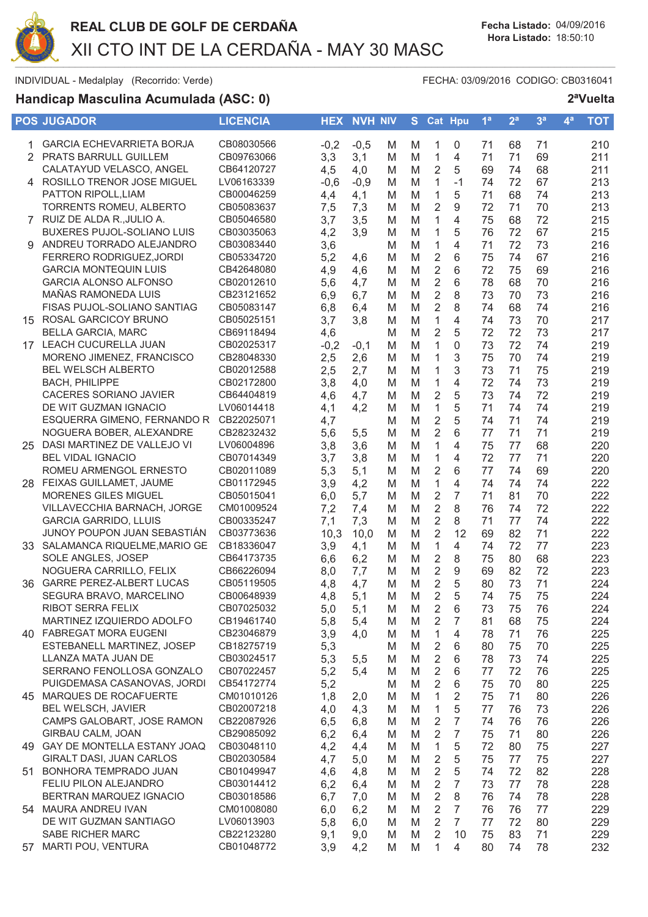

# Handicap Masculina Acumulada (ASC: 0)

FECHA: 03/09/2016 CODIGO: CB0316041

|     | <b>POS JUGADOR</b>                | <b>LICENCIA</b> | <b>HEX</b> | <b>NVH NIV</b> |   | S. |                | Cat Hpu        | 1 <sup>a</sup> | 2 <sup>a</sup> | 3 <sup>a</sup> | $\mathbf{4}^{\mathbf{a}}$ | <b>TOT</b> |
|-----|-----------------------------------|-----------------|------------|----------------|---|----|----------------|----------------|----------------|----------------|----------------|---------------------------|------------|
| 1.  | <b>GARCIA ECHEVARRIETA BORJA</b>  | CB08030566      | $-0,2$     | $-0,5$         | M | M  | 1              | 0              | 71             | 68             | 71             |                           | 210        |
|     | 2 PRATS BARRULL GUILLEM           | CB09763066      | 3,3        | 3,1            | M | M  | 1              | $\overline{4}$ | 71             | 71             | 69             |                           | 211        |
|     | CALATAYUD VELASCO, ANGEL          | CB64120727      | 4,5        | 4,0            | M | M  | 2              | 5              | 69             | 74             | 68             |                           | 211        |
|     | 4 ROSILLO TRENOR JOSE MIGUEL      | LV06163339      | $-0,6$     | $-0,9$         | M | M  | $\mathbf{1}$   | $-1$           | 74             | 72             | 67             |                           | 213        |
|     | PATTON RIPOLL, LIAM               | CB00046259      | 4,4        | 4,1            | M | M  | 1              | 5              | 71             | 68             | 74             |                           | 213        |
|     | TORRENTS ROMEU, ALBERTO           | CB05083637      | 7,5        | 7,3            | M | M  | $\overline{2}$ | 9              | 72             | 71             | 70             |                           | 213        |
|     | 7 RUIZ DE ALDA R., JULIO A.       | CB05046580      | 3,7        | 3,5            | M | M  | $\mathbf{1}$   | $\overline{4}$ | 75             | 68             | 72             |                           | 215        |
|     | <b>BUXERES PUJOL-SOLIANO LUIS</b> | CB03035063      | 4,2        | 3,9            | M | M  | $\mathbf{1}$   | 5              | 76             | 72             | 67             |                           | 215        |
|     | ANDREU TORRADO ALEJANDRO          | CB03083440      | 3,6        |                | M | M  | $\mathbf{1}$   | 4              | 71             | 72             | 73             |                           | 216        |
|     | FERRERO RODRIGUEZ, JORDI          | CB05334720      | 5,2        | 4,6            | M | M  | $\overline{2}$ | 6              | 75             | 74             | 67             |                           | 216        |
|     | <b>GARCIA MONTEQUIN LUIS</b>      | CB42648080      | 4,9        | 4,6            | M | M  | $\overline{2}$ | 6              | 72             | 75             | 69             |                           | 216        |
|     | <b>GARCIA ALONSO ALFONSO</b>      | CB02012610      | 5,6        | 4,7            | M | M  | $\overline{2}$ | 6              | 78             | 68             | 70             |                           | 216        |
|     | MAÑAS RAMONEDA LUIS               | CB23121652      | 6,9        | 6,7            | M | M  | $\overline{2}$ | 8              | 73             | 70             | 73             |                           | 216        |
|     | FISAS PUJOL-SOLIANO SANTIAG       | CB05083147      | 6,8        | 6,4            | M | M  | $\overline{2}$ | 8              | 74             | 68             | 74             |                           | 216        |
|     | 15 ROSAL GARCICOY BRUNO           | CB05025151      | 3,7        | 3,8            | M | M  | 1              | 4              | 74             | 73             | 70             |                           | 217        |
|     | <b>BELLA GARCIA, MARC</b>         | CB69118494      | 4,6        |                | M | M  | $\overline{2}$ | 5              | 72             | 72             | 73             |                           | 217        |
|     | 17 LEACH CUCURELLA JUAN           | CB02025317      | $-0,2$     | $-0,1$         | M | M  | 1              | 0              | 73             | 72             | 74             |                           | 219        |
|     | MORENO JIMENEZ, FRANCISCO         | CB28048330      | 2,5        | 2,6            | M | M  | 1              | 3              | 75             | 70             | 74             |                           | 219        |
|     | <b>BEL WELSCH ALBERTO</b>         | CB02012588      | 2,5        | 2,7            | M | M  | $\mathbf{1}$   | 3              | 73             | 71             | 75             |                           | 219        |
|     | <b>BACH, PHILIPPE</b>             | CB02172800      | 3,8        | 4,0            | M | M  | $\mathbf{1}$   | $\overline{4}$ | 72             | 74             | 73             |                           | 219        |
|     | CACERES SORIANO JAVIER            | CB64404819      | 4,6        | 4,7            | M | M  | $\overline{2}$ | 5              | 73             | 74             | 72             |                           | 219        |
|     | DE WIT GUZMAN IGNACIO             | LV06014418      | 4,1        | 4,2            | M | M  | $\mathbf{1}$   | 5              | 71             | 74             | 74             |                           | 219        |
|     | ESQUERRA GIMENO, FERNANDO R       | CB22025071      | 4,7        |                | M | M  | $\overline{2}$ | 5              | 74             | 71             | 74             |                           | 219        |
|     | NOGUERA BOBER, ALEXANDRE          | CB28232432      | 5,6        | 5,5            | M | M  | $\overline{2}$ | 6              | 77             | 71             | 71             |                           | 219        |
| 25  | DASI MARTINEZ DE VALLEJO VI       | LV06004896      | 3,8        | 3,6            | M | M  | 1              | 4              | 75             | 77             | 68             |                           | 220        |
|     | <b>BEL VIDAL IGNACIO</b>          | CB07014349      | 3,7        | 3,8            | M | M  | $\mathbf{1}$   | 4              | 72             | 77             | 71             |                           | 220        |
|     | ROMEU ARMENGOL ERNESTO            | CB02011089      | 5,3        | 5,1            | M | M  | $\overline{2}$ | 6              | 77             | 74             | 69             |                           | 220        |
|     | 28 FEIXAS GUILLAMET, JAUME        | CB01172945      | 3,9        | 4,2            | M | M  | 1              | 4              | 74             | 74             | 74             |                           | 222        |
|     | MORENES GILES MIGUEL              | CB05015041      | 6,0        | 5,7            | M | M  | $\overline{2}$ | $\overline{7}$ | 71             | 81             | 70             |                           | 222        |
|     | VILLAVECCHIA BARNACH, JORGE       | CM01009524      | 7,2        | 7,4            | M | M  | $\overline{2}$ | 8              | 76             | 74             | 72             |                           | 222        |
|     | <b>GARCIA GARRIDO, LLUIS</b>      | CB00335247      | 7,1        | 7,3            | M | M  | $\overline{2}$ | 8              | 71             | 77             | 74             |                           | 222        |
|     | JUNOY POUPON JUAN SEBASTIÁN       | CB03773636      | 10,3       | 10,0           | M | M  | $\overline{2}$ | 12             | 69             | 82             | 71             |                           | 222        |
|     | 33 SALAMANCA RIQUELME, MARIO GE   | CB18336047      | 3,9        | 4,1            | M | M  | $\mathbf{1}$   | $\overline{4}$ | 74             | 72             | 77             |                           | 223        |
|     | SOLE ANGLES, JOSEP                | CB64173735      | 6,6        | 6,2            | M | M  | $\overline{2}$ | 8              | 75             | 80             | 68             |                           | 223        |
|     | NOGUERA CARRILLO, FELIX           | CB66226094      | 8,0        | 7,7            | M | M  | $\overline{2}$ | 9              | 69             | 82             | 72             |                           | 223        |
| 36  | <b>GARRE PEREZ-ALBERT LUCAS</b>   | CB05119505      | 4,8        | 4,7            | M | M  | $\overline{2}$ | 5              | 80             | 73             | 71             |                           | 224        |
|     | SEGURA BRAVO, MARCELINO           | CB00648939      | 4,8        | 5,1            | M | M  | $\overline{2}$ | 5              | 74             | 75             | 75             |                           | 224        |
|     | RIBOT SERRA FELIX                 | CB07025032      | 5,0        | 5,1            | M | M  | 2              | 6              | 73             | 75             | 76             |                           | 224        |
|     | MARTINEZ IZQUIERDO ADOLFO         | CB19461740      | 5,8        | 5,4            | M | M  | 2              | 7              | 81             | 68             | 75             |                           | 224        |
|     | 40 FABREGAT MORA EUGENI           | CB23046879      | 3,9        | 4,0            | M | M  | 1              | 4              | 78             | 71             | 76             |                           | 225        |
|     | ESTEBANELL MARTINEZ, JOSEP        | CB18275719      | 5,3        |                | M | M  | 2              | 6              | 80             | 75             | 70             |                           | 225        |
|     | LLANZA MATA JUAN DE               | CB03024517      | 5,3        | 5,5            | M | M  | 2              | 6              | 78             | 73             | 74             |                           | 225        |
|     | SERRANO FENOLLOSA GONZALO         | CB07022457      | 5,2        | 5,4            | M | M  | 2              | 6              | 77             | 72             | 76             |                           | 225        |
|     | PUIGDEMASA CASANOVAS, JORDI       | CB54172774      | 5,2        |                | M | M  | 2              | 6              | 75             | 70             | 80             |                           | 225        |
|     | 45 MARQUES DE ROCAFUERTE          | CM01010126      | 1,8        | 2,0            | M | M  | 1              | $\overline{2}$ | 75             | 71             | 80             |                           | 226        |
|     | BEL WELSCH, JAVIER                | CB02007218      | 4,0        | 4,3            | M | M  | 1              | 5              | 77             | 76             | 73             |                           | 226        |
|     | CAMPS GALOBART, JOSE RAMON        | CB22087926      | 6,5        | 6,8            | M | M  | 2              | $\overline{7}$ | 74             | 76             | 76             |                           | 226        |
|     | GIRBAU CALM, JOAN                 | CB29085092      | 6,2        | 6,4            | M | M  | 2              | 7              | 75             | 71             | 80             |                           | 226        |
| 49. | GAY DE MONTELLA ESTANY JOAQ       | CB03048110      | 4,2        | 4,4            | M | M  | 1              | 5              | 72             | 80             | 75             |                           | 227        |
|     | GIRALT DASI, JUAN CARLOS          | CB02030584      | 4,7        | 5,0            | M | M  | 2              | 5              | 75             | 77             | 75             |                           | 227        |
| 51  | BONHORA TEMPRADO JUAN             | CB01049947      | 4,6        | 4,8            | M | M  | 2              | 5              | 74             | 72             | 82             |                           | 228        |
|     | FELIU PILON ALEJANDRO             | CB03014412      | 6,2        | 6,4            | M | M  | 2              | 7              | 73             | 77             | 78             |                           | 228        |
|     | BERTRAN MARQUEZ IGNACIO           | CB03018586      | 6,7        | 7,0            | M | M  | 2              | 8              | 76             | 74             | 78             |                           | 228        |
|     | 54 MAURA ANDREU IVAN              | CM01008080      | 6,0        | 6,2            | M | M  | 2              | 7              | 76             | 76             | 77             |                           | 229        |
|     | DE WIT GUZMAN SANTIAGO            | LV06013903      | 5,8        | 6,0            | M | M  | 2              | 7              | 77             | 72             | 80             |                           | 229        |
|     | SABE RICHER MARC                  | CB22123280      | 9,1        | 9,0            | M | M  | 2              | 10             | 75             | 83             | 71             |                           | 229        |
| 57  | MARTI POU, VENTURA                | CB01048772      | 3,9        | 4,2            | M | M  | 1              | 4              | 80             | 74             | 78             |                           | 232        |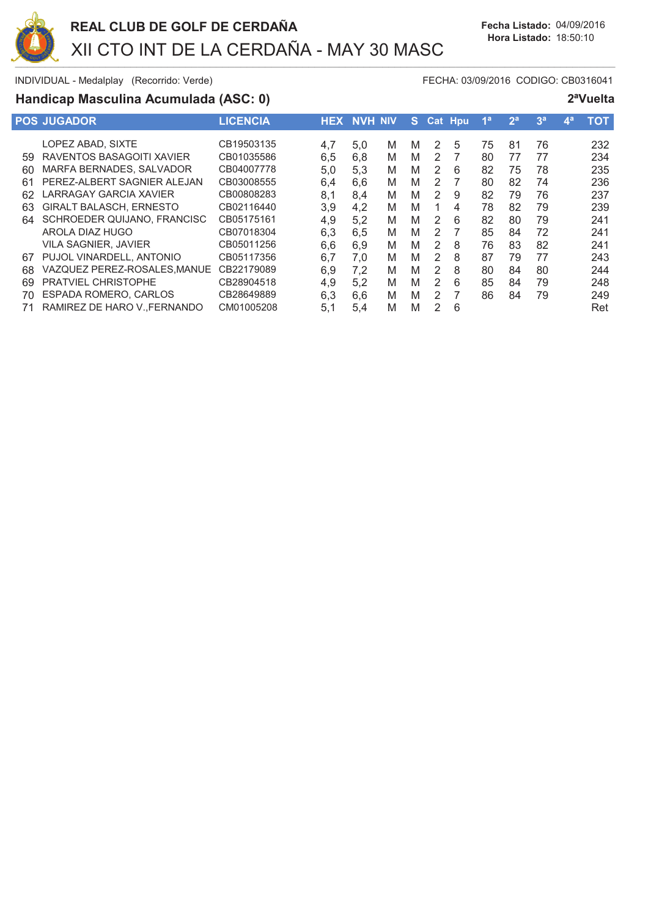

# Handicap Masculina Acumulada (ASC: 0)

FECHA: 03/09/2016 CODIGO: CB0316041

|    | <b>POS JUGADOR</b>             | <b>LICENCIA</b> | <b>HEX</b> | <b>NVH NIV</b> |   | S.     |        | <b>Cat Hpu</b> | 4a | 2 <sup>a</sup> | 3 <sup>a</sup> | 4 <sup>a</sup> | <b>TOT</b> |
|----|--------------------------------|-----------------|------------|----------------|---|--------|--------|----------------|----|----------------|----------------|----------------|------------|
|    | LOPEZ ABAD, SIXTE              | CB19503135      |            |                | M |        |        | 5              | 75 | 81             | 76             |                | 232        |
| 59 | RAVENTOS BASAGOITI XAVIER      | CB01035586      | 4,7<br>6,5 | 5,0<br>6,8     | M | м<br>M | 2<br>2 |                | 80 | 77             | 77             |                | 234        |
| 60 | MARFA BERNADES, SALVADOR       | CB04007778      | 5,0        | 5,3            | M | M      | 2      | 6              | 82 | 75             | 78             |                | 235        |
| 61 | PEREZ-ALBERT SAGNIER ALEJAN    | CB03008555      | 6,4        | 6,6            | M | M      | 2      |                | 80 | 82             | 74             |                | 236        |
| 62 | <b>LARRAGAY GARCIA XAVIER</b>  | CB00808283      | 8,1        | 8,4            | M | M      | 2      | 9              | 82 | 79             | 76             |                | 237        |
| 63 | <b>GIRALT BALASCH, ERNESTO</b> | CB02116440      | 3,9        | 4.2            | M | M      |        | 4              | 78 | 82             | 79             |                | 239        |
| 64 | SCHROEDER QUIJANO, FRANCISC    | CB05175161      | 4,9        | 5,2            | M | M      | 2      | 6              | 82 | 80             | 79             |                | 241        |
|    | AROLA DIAZ HUGO                | CB07018304      | 6,3        | 6,5            | M | M      | 2      |                | 85 | 84             | 72             |                | 241        |
|    | <b>VILA SAGNIER, JAVIER</b>    | CB05011256      | 6,6        | 6,9            | M | M      | 2      | 8              | 76 | 83             | 82             |                | 241        |
| 67 | PUJOL VINARDELL, ANTONIO       | CB05117356      | 6,7        | 7.0            | M | M      | 2      | 8              | 87 | 79             | 77             |                | 243        |
| 68 | VAZQUEZ PEREZ-ROSALES, MANUE   | CB22179089      | 6,9        | 7,2            | M | M      | 2      | 8              | 80 | 84             | 80             |                | 244        |
| 69 | <b>PRATVIEL CHRISTOPHE</b>     | CB28904518      | 4,9        | 5,2            | M | M      | 2      | 6              | 85 | 84             | 79             |                | 248        |
| 70 | ESPADA ROMERO, CARLOS          | CB28649889      | 6,3        | 6,6            | M | M      | 2      |                | 86 | 84             | 79             |                | 249        |
|    | RAMIREZ DE HARO V. FERNANDO    | CM01005208      | 5,1        | 5,4            | M | M      | 2      | 6              |    |                |                |                | Ret        |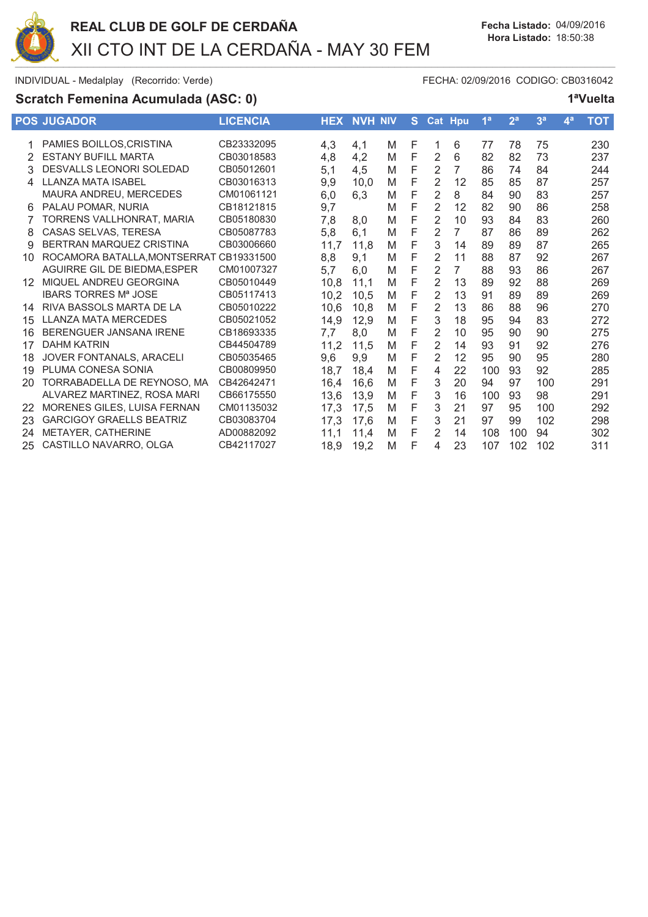

# Scratch Femenina Acumulada (ASC: 0)

FECHA: 02/09/2016 CODIGO: CB0316042

| ю |
|---|
|   |

|    | <b>POS JUGADOR</b>              | <b>LICENCIA</b> | <b>HEX</b> | <b>NVH NIV</b> |   | S. |                | Cat Hpu        | 1 <sup>a</sup> | 2 <sup>a</sup> | 3 <sup>a</sup> | $\mathbf{A}^{\mathbf{a}}$ | <b>TOT</b> |
|----|---------------------------------|-----------------|------------|----------------|---|----|----------------|----------------|----------------|----------------|----------------|---------------------------|------------|
|    | PAMIES BOILLOS, CRISTINA        | CB23332095      | 4,3        | 4,1            | M | F  |                | 6              | 77             | 78             | 75             |                           | 230        |
| 2  | <b>ESTANY BUFILL MARTA</b>      | CB03018583      | 4,8        | 4,2            | M | F  | $\overline{2}$ | 6              | 82             | 82             | 73             |                           | 237        |
| 3  | DESVALLS LEONORI SOLEDAD        | CB05012601      | 5,1        | 4,5            | M | F  | $\overline{2}$ | $\overline{7}$ | 86             | 74             | 84             |                           | 244        |
| 4  | <b>LLANZA MATA ISABEL</b>       | CB03016313      | 9,9        | 10,0           | M | F  | $\overline{2}$ | 12             | 85             | 85             | 87             |                           | 257        |
|    | MAURA ANDREU, MERCEDES          | CM01061121      | 6,0        | 6,3            | M | F  | $\overline{2}$ | 8              | 84             | 90             | 83             |                           | 257        |
| 6  | PALAU POMAR, NURIA              | CB18121815      | 9,7        |                | M | F  | $\overline{2}$ | 12             | 82             | 90             | 86             |                           | 258        |
| 7  | TORRENS VALLHONRAT, MARIA       | CB05180830      | 7,8        | 8,0            | M | F  | $\overline{2}$ | 10             | 93             | 84             | 83             |                           | 260        |
| 8  | CASAS SELVAS, TERESA            | CB05087783      | 5,8        | 6,1            | M | F  | $\overline{2}$ | $\overline{7}$ | 87             | 86             | 89             |                           | 262        |
| 9  | BERTRAN MARQUEZ CRISTINA        | CB03006660      | 11,7       | 11,8           | M | F  | 3              | 14             | 89             | 89             | 87             |                           | 265        |
| 10 | ROCAMORA BATALLA, MONTSERRAT    | CB19331500      | 8,8        | 9,1            | M | F  | $\overline{2}$ | 11             | 88             | 87             | 92             |                           | 267        |
|    | AGUIRRE GIL DE BIEDMA.ESPER     | CM01007327      | 5,7        | 6,0            | M | F  | $\overline{2}$ | $\overline{7}$ | 88             | 93             | 86             |                           | 267        |
| 12 | MIQUEL ANDREU GEORGINA          | CB05010449      | 10,8       | 11,1           | M | F  | $\overline{2}$ | 13             | 89             | 92             | 88             |                           | 269        |
|    | <b>IBARS TORRES Mª JOSE</b>     | CB05117413      | 10,2       | 10,5           | M | F  | 2              | 13             | 91             | 89             | 89             |                           | 269        |
| 14 | RIVA BASSOLS MARTA DE LA        | CB05010222      | 10,6       | 10,8           | M | F  | $\overline{2}$ | 13             | 86             | 88             | 96             |                           | 270        |
| 15 | <b>LLANZA MATA MERCEDES</b>     | CB05021052      | 14,9       | 12,9           | M | F  | 3              | 18             | 95             | 94             | 83             |                           | 272        |
| 16 | BERENGUER JANSANA IRENE         | CB18693335      | 7,7        | 8,0            | M | F  | $\overline{2}$ | 10             | 95             | 90             | 90             |                           | 275        |
| 17 | <b>DAHM KATRIN</b>              | CB44504789      | 11.2       | 11,5           | M | F  | $\overline{2}$ | 14             | 93             | 91             | 92             |                           | 276        |
| 18 | JOVER FONTANALS, ARACELI        | CB05035465      | 9,6        | 9,9            | M | F  | $\overline{2}$ | 12             | 95             | 90             | 95             |                           | 280        |
| 19 | PLUMA CONESA SONIA              | CB00809950      | 18,7       | 18,4           | M | F  | 4              | 22             | 100            | 93             | 92             |                           | 285        |
| 20 | TORRABADELLA DE REYNOSO, MA     | CB42642471      | 16,4       | 16,6           | M | F  | 3              | 20             | 94             | 97             | 100            |                           | 291        |
|    | ALVAREZ MARTINEZ, ROSA MARI     | CB66175550      | 13,6       | 13,9           | M | F  | 3              | 16             | 100            | 93             | 98             |                           | 291        |
| 22 | MORENES GILES, LUISA FERNAN     | CM01135032      | 17,3       | 17,5           | M | F  | 3              | 21             | 97             | 95             | 100            |                           | 292        |
| 23 | <b>GARCIGOY GRAELLS BEATRIZ</b> | CB03083704      | 17,3       | 17,6           | M | F  | 3              | 21             | 97             | 99             | 102            |                           | 298        |
| 24 | METAYER, CATHERINE              | AD00882092      | 11,1       | 11,4           | M | F  | 2              | 14             | 108            | 100            | 94             |                           | 302        |
| 25 | CASTILLO NAVARRO, OLGA          | CB42117027      | 18,9       | 19,2           | M | F  | 4              | 23             | 107            | 102            | 102            |                           | 311        |